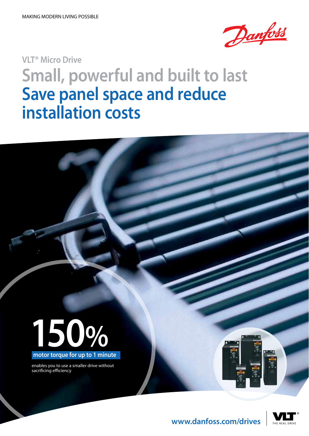

## **VLT® Micro Drive Small, powerful and built to last Save panel space and reduce installation costs**



enables you to use a smaller drive without sacrificing efficiency





**www.danfoss.com/drives**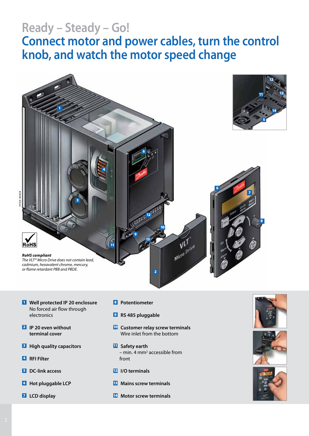### **Ready – Steady – Go!**

### **Connect motor and power cables, turn the control knob, and watch the motor speed change**



- **Well protected IP 20 enclosure** No forced air flow through electronics
- **IP 20 even without terminal cover**
- **High quality capacitors**
- **RFI Filter**
- **DC-link access**
- **Hot pluggable LCP**
- **LCD display**
- **Potentiometer**
- **RS 485 pluggable**
- **Customer relay screw terminals** Wire inlet from the bottom
- **Safety earth** - min. 4 mm<sup>2</sup> accessible from front
- **I/O terminals**
- **Mains screw terminals**
- **Motor screw terminals**





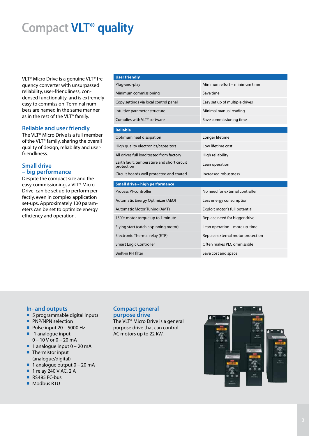### **Compact VLT® quality**

VLT® Micro Drive is a genuine VLT® frequency converter with unsurpassed reliability, user-friendliness, condensed functionality, and is extremely easy to commission. Terminal numbers are named in the same manner as in the rest of the VLT® family.

#### **Reliable and user friendly**

The VLT® Micro Drive is a full member of the VLT® family, sharing the overall quality of design, reliability and userfriendliness.

#### **Small drive – big performance**

Despite the compact size and the easy commissioning, a VLT® Micro Drive can be set up to perform perfectly, even in complex application set-ups. Approximately 100 parameters can be set to optimize energy efficiency and operation.

### **User friendly** Plug-and-play Minimum effort – minimum time Minimum commissioning Save time Copy settings via local control panel Easy set up of multiple drives Intuitive parameter structure Minimal manual reading Complies with VLT® software Save commissioning time **Reliable** Optimum heat dissipation Longer lifetime High quality electronics/capasitors Low lifetime cost All drives full load tested from factory High reliability Earth fault, temperature and short circuit protection Lean operation Circuit boards well protected and coated Increased robustness **Small drive – high performance** Process PI-controller No need for external controller Automatic Energy Optimizer (AEO) Less energy consumption Automatic Motor Tuning (AMT) Exploit motor's full potential 150% motor torque up to 1 minute Replace need for bigger drive Flying start (catch a spinning motor) Lean operation – more up-time Electronic Thermal relay (ETR) Replace external motor protection Smart Logic Controller **Controller** Content Content Content Content Content Content Content Content Content Conte Built-in RFI filter Save cost and space

#### **In- and outputs**

- 5 programmable digital inputs
- **PNP/NPN selection**
- $\blacksquare$  Pulse input 20 5000 Hz
- 1 analogue input
- 0 10 V or 0 20 mA  $\blacksquare$  1 analogue input 0 – 20 mA
- Thermistor input (analogue/digital)
- $\blacksquare$  1 analogue output 0 20 mA
- **1** relay 240 V AC, 2 A
- RS485 FC-bus
- Modbus RTU

#### **Compact general purpose drive**

The VLT® Micro Drive is a general purpose drive that can control AC motors up to 22 kW.

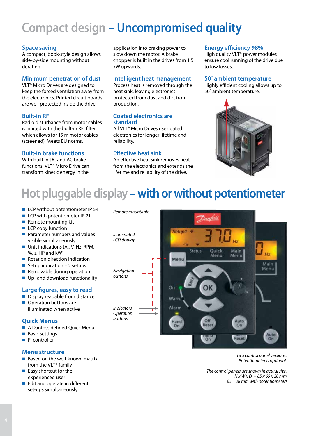### **Compact design – Uncompromised quality**

#### **Space saving**

A compact, book-style design allows side-by-side mounting without derating.

#### **Minimum penetration of dust**

VLT® Micro Drives are designed to keep the forced ventilation away from the electronics. Printed circuit boards are well protected inside the drive.

#### **Built-in RFI**

Radio disturbance from motor cables is limited with the built-in RFI filter, which allows for 15 m motor cables (screened). Meets EU norms.

#### **Built-in brake functions**

With built in DC and AC brake functions, VLT® Micro Drive can transform kinetic energy in the

application into braking power to slow down the motor. A brake chopper is built in the drives from 1.5 kW upwards.

#### **Intelligent heat management**

Process heat is removed through the heat sink, leaving electronics protected from dust and dirt from production.

#### **Coated electronics are standard**

All VLT® Micro Drives use coated electronics for longer lifetime and reliability.

#### **Effective heat sink**

An effective heat sink removes heat from the electronics and extends the lifetime and reliability of the drive.

#### **Energy efficiency 98%**

High quality VLT® power modules ensure cool running of the drive due to low losses.

#### **50˚ ambient temperature**

Highly efficient cooling allows up to 50˚ ambient temperature.



### **Hot pluggable display – with or without potentiometer**

- LCP without potentiometer IP 54
- LCP with potentiometer IP 21
- Remote mounting kit
- $\blacksquare$  LCP copy function
- **Parameter numbers and values** visible simultaneously
- Unit indications (A., V, Hz, RPM, %, s, HP and kW)
- **Rotation direction indication**
- Setup indication  $-2$  setups
- Removable during operation
- Up- and download functionality

#### **Large figures, easy to read**

- Display readable from distance
- **Operation buttons are** illuminated when active

#### **Quick Menus**

- **A Danfoss defined Quick Menu**
- **Basic settings**
- **PI** controller

#### **Menu structure**

- $\blacksquare$  Based on the well-known matrix from the VLT® family
- $\blacksquare$  Easy shortcut for the experienced user
- $\blacksquare$  Edit and operate in different set-ups simultaneously

Setup1 + Status Ouick Main Menu Menu Menu Main Menu On T Warn Alarm *Operation* Off Auto Hand  $On$ Rese On Auto Reset  $on$  $On$ 

> *Two control panel versions. Potentiometer is optional.*

*The control panels are shown in actual size. H x W x D = 85 x 65 x 20 mm (D = 28 mm with potentiometer)* 

*Illuminated LCD display*

*Remote mountable* 

*Navigation*

*buttons*

*Indicators*

*buttons*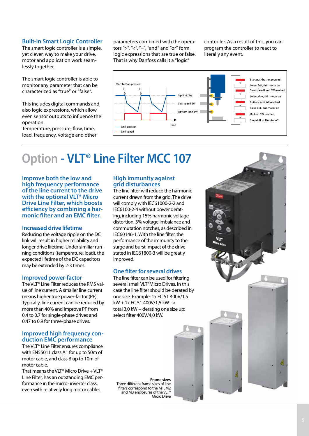The smart logic controller is a simple, yet clever, way to make your drive, motor and application work seamlessly together.

The smart logic controller is able to monitor any parameter that can be characterized as "true" or "false".

This includes digital commands and also logic expressions, which allow even sensor outputs to influence the operation.

Temperature, pressure, flow, time, load, frequency, voltage and other

parameters combined with the operators ">", "<", "=", "and" and "or" form logic expressions that are true or false. That is why Danfoss calls it a "logic" **Built-in Smart Logic Controller** parameters combined with the opera- controller. As a result of this, you can

program the controller to react to literally any event.



### **Option - VLT® Line Filter MCC 107**

**Improve both the low and high frequency performance of the line current to the drive with the optional VLT® Micro Drive Line Filter, which boosts efficiency by combining a harmonic filter and an EMC filter.** 

#### **Increased drive lifetime**

Reducing the voltage ripple on the DC link will result in higher reliability and longer drive lifetime. Under similiar running conditions (temperature, load), the expected lifetime of the DC capacitors may be extended by 2-3 times.

#### **Improved power-factor**

The VLT® Line Filter reduces the RMS value of line current. A smaller line current means higher true power-factor (PF). Typically, line current can be reduced by more than 40% and improve PF from 0.4 to 0.7 for single-phase drives and 0.47 to 0.9 for three-phase drives.

#### **Improved high frequency conduction EMC performance**

The VLT® Line Filter ensures compliance with EN55011 class A1 for up to 50m of motor cable, and class B up to 10m of motor cable.

That means the VLT<sup>®</sup> Micro Drive + VLT<sup>®</sup> Line Filter, has an outstanding EMC performance in the micro- inverter class, even with relatively long motor cables.

#### **High immunity against grid disturbances**

The line filter will reduce the harmonic current drawn from the grid. The drive will comply with IEC61000-2-2 and IEC6100-2-4 without power derating, including 15% harmonic voltage distortion, 3% voltage imbalance and commutation notches, as described in IEC60146-1. With the line filter, the performance of the immunity to the surge and burst impact of the drive stated in IEC61800-3 will be greatly improved.

#### **One filter for several drives**

The line filter can be used for filtering several small VLT®Micro Drives. In this case the line filter should be derated by one size. Example: 1x FC 51 400V/1,5 kW + 1x FC 51 400V/1,5 kW -> total 3,0 kW + derating one size up: select filter 400V/4,0 kW.

**Frame sizes** Three different frame sizes of line filters correspond to the M1, M2 and M3 enclosures of the VLT® Micro Drive

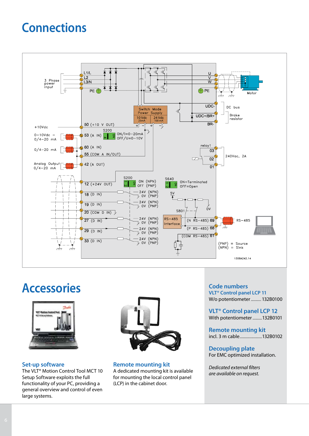### **Connections**



### **Accessories**



#### **Set-up software**

The VLT<sup>®</sup> Motion Control Tool MCT 10 Setup Software exploits the full functionality of your PC, providing a general overview and control of even large systems.



**Remote mounting kit** A dedicated mounting kit is available

for mounting the local control panel (LCP) in the cabinet door.

#### **Code numbers VLT® Control panel LCP 11**

W/o potentiometer............ 132B0100

**VLT® Control panel LCP 12** With potentiometer...........132B0101

**Remote mounting kit** incl. 3 m cable..........................132B0102

**Decoupling plate** For EMC optimized installation.

*Dedicated external filters are available on request.*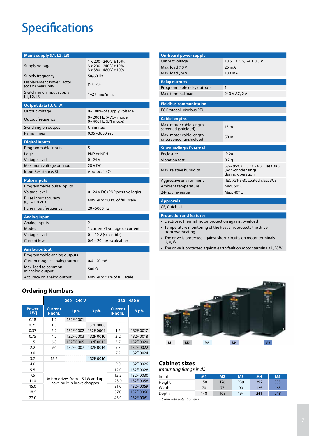### **Specifications**

| Mains supply (L1, L2, L3)                               |                                                                                             |  |  |  |
|---------------------------------------------------------|---------------------------------------------------------------------------------------------|--|--|--|
| Supply voltage                                          | $1 \times 200 - 240 V \pm 10\%$ ,<br>3 x 200-240 V ± 10%<br>$3 \times 380 - 480 V \pm 10\%$ |  |  |  |
| Supply frequency                                        | 50/60 Hz                                                                                    |  |  |  |
| Displacement Power Factor<br>$(cos \varphi)$ near unity | (> 0.98)                                                                                    |  |  |  |
| Switching on input supply<br>L1, L2, L3                 | 1-2 times/min.                                                                              |  |  |  |
| Output data (U, V, W)                                   |                                                                                             |  |  |  |
| Output voltage                                          | 0-100% of supply voltage                                                                    |  |  |  |
| Output frequency                                        | 0-200 Hz (VVC+ mode)<br>0-400 Hz (U/f mode)                                                 |  |  |  |
| Switching on output                                     | Unlimited                                                                                   |  |  |  |
| Ramp times                                              | $0.05 - 3600$ sec                                                                           |  |  |  |
| <b>Digital inputs</b>                                   |                                                                                             |  |  |  |
| Programmable inputs                                     | 5                                                                                           |  |  |  |
| Logic                                                   | PNP or NPN                                                                                  |  |  |  |
| Voltage level                                           | 0–24 V                                                                                      |  |  |  |
| Maximum voltage on input                                | 28 V DC                                                                                     |  |  |  |
| Input Resistance, Ri                                    | Approx. 4 kΩ                                                                                |  |  |  |
| <b>Pulse inputs</b>                                     |                                                                                             |  |  |  |
| Programmable pulse inputs                               | 1                                                                                           |  |  |  |
| Voltage level                                           | 0-24 V DC (PNP positive logic)                                                              |  |  |  |
| Pulse input accuracy<br>$(0,1 - 110$ kHz)               | Max. error: 0.1% of full scale                                                              |  |  |  |
| Pulse input frequency                                   | 20-5000 Hz                                                                                  |  |  |  |
| <b>Analog input</b>                                     |                                                                                             |  |  |  |
| Analog inputs                                           | $\mathcal{P}$                                                                               |  |  |  |
| Modes                                                   | 1 current/1 voltage or current                                                              |  |  |  |
| Voltage level                                           | $0 - 10 V$ (scaleable)                                                                      |  |  |  |
| <b>Current level</b>                                    | $0/4 - 20$ mA (scaleable)                                                                   |  |  |  |
| <b>Analog output</b>                                    |                                                                                             |  |  |  |
| Programmable analog outputs                             | 1                                                                                           |  |  |  |
| Current range at analog output                          | $0/4 - 20$ mA                                                                               |  |  |  |
| Max. load to common<br>at analog output                 | 500 $\Omega$                                                                                |  |  |  |
| Accuracy on analog output                               | Max. error: 1% of full scale                                                                |  |  |  |

#### **Ordering Numbers**

|                      | $200 - 240V$                                                   |           |           | $380 - 480V$                 |           |
|----------------------|----------------------------------------------------------------|-----------|-----------|------------------------------|-----------|
| <b>Power</b><br>[kW] | <b>Current</b><br>[l-nom.]                                     | 1 ph.     | 3 ph.     | <b>Current</b><br>$[1-nom.]$ | 3 ph.     |
| 0.18                 | 1.2                                                            | 132F 0001 |           |                              |           |
| 0.25                 | 1.5                                                            |           | 132F0008  |                              |           |
| 0.37                 | 2.2                                                            | 132F 0002 | 132F 0009 | 1.2                          | 132F 0017 |
| 0.75                 | 4.2                                                            | 132F 0003 | 132F 0010 | 2.2                          | 132F 0018 |
| 1.5                  | 6.8                                                            | 132F 0005 | 132F 0012 | 3.7                          | 132F 0020 |
| 2.2                  | 9.6                                                            | 132F 0007 | 132F 0014 | 5.3                          | 132F 0022 |
| 3.0                  |                                                                |           |           | 7.2                          | 132F 0024 |
| 3.7                  | 15.2                                                           |           | 132F 0016 |                              |           |
| 4.0                  |                                                                |           |           | 9.0                          | 132F 0026 |
| 5.5                  |                                                                |           |           | 12.0                         | 132F 0028 |
| 7.5                  |                                                                |           | 15.5      | 132F 0030                    |           |
| 11.0                 | Micro drives from 1.5 kW and up<br>have built in brake chopper |           |           | 23.0                         | 132F 0058 |
| 15.0                 |                                                                |           |           | 31.0                         | 132F 0059 |
| 18.5                 | 132F 0060<br>37.0                                              |           |           |                              |           |
| 22.0                 |                                                                |           | 43.0      | 132F 0061                    |           |

| <b>On-board power supply</b>   |                                                                        |
|--------------------------------|------------------------------------------------------------------------|
| Output voltage                 | $10.5 \pm 0.5$ V, 24 $\pm$ 0.5 V                                       |
| Max. load (10 V)               | $25 \text{ mA}$                                                        |
| Max. load (24 V)               | $100 \text{ mA}$                                                       |
|                                |                                                                        |
| <b>Relay outputs</b>           |                                                                        |
| Programmable relay outputs     | 1                                                                      |
| Max. terminal load             | 240 V AC, 2 A                                                          |
| <b>Fieldbus communication</b>  |                                                                        |
| <b>FC Protocol, Modbus RTU</b> |                                                                        |
|                                |                                                                        |
| <b>Cable lengths</b>           |                                                                        |
| Max. motor cable length,       | 15 <sub>m</sub>                                                        |
| screened (shielded)            |                                                                        |
| Max. motor cable length,       | 50 <sub>m</sub>                                                        |
| unscreened (unshielded)        |                                                                        |
| <b>Surroundings/External</b>   |                                                                        |
| <b>Fnclosure</b>               | <b>IP 20</b>                                                           |
| <b>Vibration test</b>          | 0.7 <sub>q</sub>                                                       |
| Max. relative humidity         | 5%-95% (IEC 721-3-3: Class 3K3<br>(non-condensing)<br>during operation |
| Aggressive environment         | (IEC 721-3-3), coated class 3C3                                        |
| Ambient temperature            | Max. $50^{\circ}$ C                                                    |
| 24-hour average                | Max, $40^{\circ}$ C                                                    |
|                                |                                                                        |
| <b>Approvals</b>               |                                                                        |
| CE, C-tick, UL                 |                                                                        |

#### **Protection and features**

- Electronic thermal motor protection against overload
- Temperature monitoring of the heat sink protects the drive from overheating
- The drive is protected against short-circuits on motor terminals U, V, W
- The drive is protected against earth fault on motor terminals U, V, W



#### **Cabinet sizes**

#### *(mounting flange incl.)*

| [mm]                     | M1  | M <sub>2</sub> | M <sub>3</sub> | M <sub>4</sub> | <b>M5</b> |  |  |  |
|--------------------------|-----|----------------|----------------|----------------|-----------|--|--|--|
| Height                   | 150 | 176            | 239            | 292            | 335       |  |  |  |
| Width                    | 70  | 75             | 90             | 125            | 165       |  |  |  |
| Depth                    | 148 | 168            | 194            | 241            | 248       |  |  |  |
| +6 mm with potentiometer |     |                |                |                |           |  |  |  |